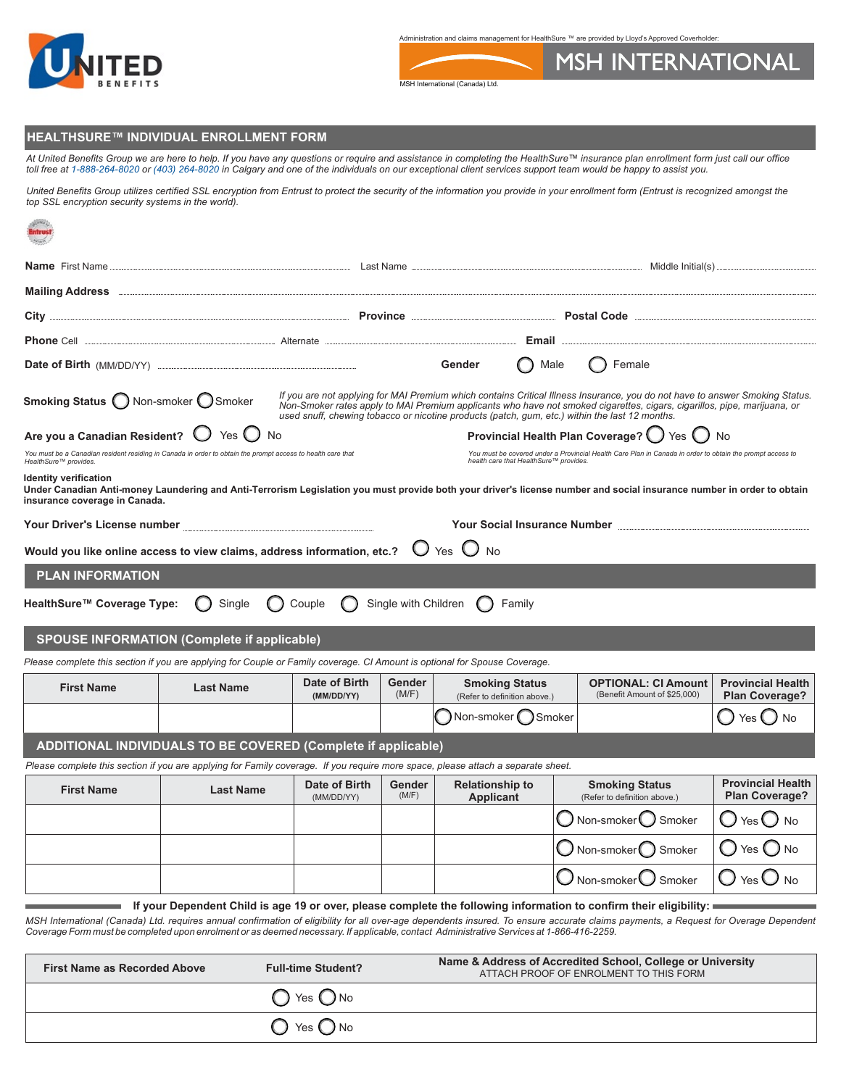

Administration and claims management for HealthSure ™ are provided by Lloyd's Approved Coverholder:

**MSH INTERNATIONAL** 



## **HEALTHSURE™ INDIVIDUAL ENROLLMENT FORM**

At United Benefits Group we are here to help. If you have any questions or require and assistance in completing the HealthSure™ insurance plan enrollment form just call our office<br>toll free at 1-888-264-8020 or (403) 264-

*United Benefits Group utilizes certified SSL encryption from Entrust to protect the security of the information you provide in your enrollment form (Entrust is recognized amongst the top SSL encryption security systems in the world).*

| Phone Cell <b>Email Email Alternate Alternate Alternate Alternate Email Email</b>                                                                                                                                                                                                                          |                            |                             |                        |                                                       |                |                                                                                                                                                                                                                                                                                                                                                            |                                                   |
|------------------------------------------------------------------------------------------------------------------------------------------------------------------------------------------------------------------------------------------------------------------------------------------------------------|----------------------------|-----------------------------|------------------------|-------------------------------------------------------|----------------|------------------------------------------------------------------------------------------------------------------------------------------------------------------------------------------------------------------------------------------------------------------------------------------------------------------------------------------------------------|---------------------------------------------------|
| Date of Birth (MM/DD/YY) <b>ENTITLE INCORPORATION</b>                                                                                                                                                                                                                                                      |                            |                             |                        | Gender                                                | $\bigcap$ Male | $\bigcap$ Female                                                                                                                                                                                                                                                                                                                                           |                                                   |
| Smoking Status O Non-smoker O Smoker                                                                                                                                                                                                                                                                       |                            |                             |                        |                                                       |                | If you are not applying for MAI Premium which contains Critical Illness Insurance, you do not have to answer Smoking Status.<br>Non-Smoker rates apply to MAI Premium applicants who have not smoked cigarettes, cigars, cigarillos, pipe, marijuana, or<br>used snuff, chewing tobacco or nicotine products (patch, gum, etc.) within the last 12 months. |                                                   |
| Are you a Canadian Resident? $\bigcup$                                                                                                                                                                                                                                                                     | Yes $\bigcup$<br><b>No</b> |                             |                        |                                                       |                | Provincial Health Plan Coverage? () Yes () No                                                                                                                                                                                                                                                                                                              |                                                   |
| You must be a Canadian resident residing in Canada in order to obtain the prompt access to health care that<br>HealthSure™ provides.                                                                                                                                                                       |                            |                             |                        | health care that HealthSure™ provides.                |                | You must be covered under a Provincial Health Care Plan in Canada in order to obtain the prompt access to                                                                                                                                                                                                                                                  |                                                   |
| <b>Identity verification</b><br>Under Canadian Anti-money Laundering and Anti-Terrorism Legislation you must provide both your driver's license number and social insurance number in order to obtain<br>insurance coverage in Canada.                                                                     |                            |                             |                        |                                                       |                |                                                                                                                                                                                                                                                                                                                                                            |                                                   |
| Your Driver's License number [19] Nour Driver's License mumber                                                                                                                                                                                                                                             |                            |                             |                        |                                                       |                | Your Social Insurance Number <b>Engineer Act and Social Insurance Number</b>                                                                                                                                                                                                                                                                               |                                                   |
| Would you like online access to view claims, address information, etc.?                                                                                                                                                                                                                                    |                            |                             |                        | $O$ Yes $O$ No                                        |                |                                                                                                                                                                                                                                                                                                                                                            |                                                   |
| <b>PLAN INFORMATION</b>                                                                                                                                                                                                                                                                                    |                            |                             |                        |                                                       |                |                                                                                                                                                                                                                                                                                                                                                            |                                                   |
| HealthSure™ Coverage Type:                                                                                                                                                                                                                                                                                 | Single                     | Couple                      | Single with Children   | Family                                                |                |                                                                                                                                                                                                                                                                                                                                                            |                                                   |
| <b>SPOUSE INFORMATION (Complete if applicable)</b>                                                                                                                                                                                                                                                         |                            |                             |                        |                                                       |                |                                                                                                                                                                                                                                                                                                                                                            |                                                   |
| Please complete this section if you are applying for Couple or Family coverage. CI Amount is optional for Spouse Coverage.                                                                                                                                                                                 |                            |                             |                        |                                                       |                |                                                                                                                                                                                                                                                                                                                                                            |                                                   |
| <b>First Name</b>                                                                                                                                                                                                                                                                                          | <b>Last Name</b>           | Date of Birth<br>(MM/DD/YY) | <b>Gender</b><br>(M/F) | <b>Smoking Status</b><br>(Refer to definition above.) |                | <b>OPTIONAL: CI Amount</b><br>(Benefit Amount of \$25,000)                                                                                                                                                                                                                                                                                                 | <b>Provincial Health</b><br>Plan Coverage?        |
|                                                                                                                                                                                                                                                                                                            |                            |                             |                        | Non-smoker Smoker                                     |                |                                                                                                                                                                                                                                                                                                                                                            | Yes (<br>No                                       |
| ADDITIONAL INDIVIDUALS TO BE COVERED (Complete if applicable)                                                                                                                                                                                                                                              |                            |                             |                        |                                                       |                |                                                                                                                                                                                                                                                                                                                                                            |                                                   |
| Please complete this section if you are applying for Family coverage. If you require more space, please attach a separate sheet.                                                                                                                                                                           |                            |                             |                        |                                                       |                |                                                                                                                                                                                                                                                                                                                                                            |                                                   |
| <b>First Name</b>                                                                                                                                                                                                                                                                                          | <b>Last Name</b>           | Date of Birth<br>(MM/DD/YY) | <b>Gender</b><br>(M/F) | <b>Relationship to</b><br><b>Applicant</b>            |                | <b>Smoking Status</b><br>(Refer to definition above.)                                                                                                                                                                                                                                                                                                      | <b>Provincial Health</b><br><b>Plan Coverage?</b> |
|                                                                                                                                                                                                                                                                                                            |                            |                             |                        |                                                       |                | Non-smoker Smoker                                                                                                                                                                                                                                                                                                                                          | Yes <sup>1</sup><br>No                            |
|                                                                                                                                                                                                                                                                                                            |                            |                             |                        |                                                       |                | Non-smoker Smoker                                                                                                                                                                                                                                                                                                                                          | Yes (<br><b>No</b>                                |
|                                                                                                                                                                                                                                                                                                            |                            |                             |                        |                                                       |                | Non-smoker $\bigcup$<br>Smoker                                                                                                                                                                                                                                                                                                                             | <b>No</b><br>Yes $\cup$                           |
| If your Dependent Child is age 19 or over, please complete the following information to confirm their eligibility:<br>MSH International (Canada) Ltd, requires annual confirmation of eligibility for all over age dependents insured. To ensure accurate claims nayments, a Pequest for Querage Dependent |                            |                             |                        |                                                       |                |                                                                                                                                                                                                                                                                                                                                                            |                                                   |

*MSH International (Canada) Ltd. requires annual confirmation of eligibility for all over-age dependents insured. To ensure accurate claims payments, a Request for Overage Dependent Coverage Form must be completed upon enrolment or as deemed necessary. If applicable, contact Administrative Services at 1-866-416-2259.* 

| <b>First Name as Recorded Above</b><br><b>Full-time Student?</b> |                              | Name & Address of Accredited School, College or University<br>ATTACH PROOF OF ENROLMENT TO THIS FORM |
|------------------------------------------------------------------|------------------------------|------------------------------------------------------------------------------------------------------|
|                                                                  | $\bigcirc$ Yes $\bigcirc$ No |                                                                                                      |
|                                                                  | $\bigcirc$ Yes $\bigcirc$ No |                                                                                                      |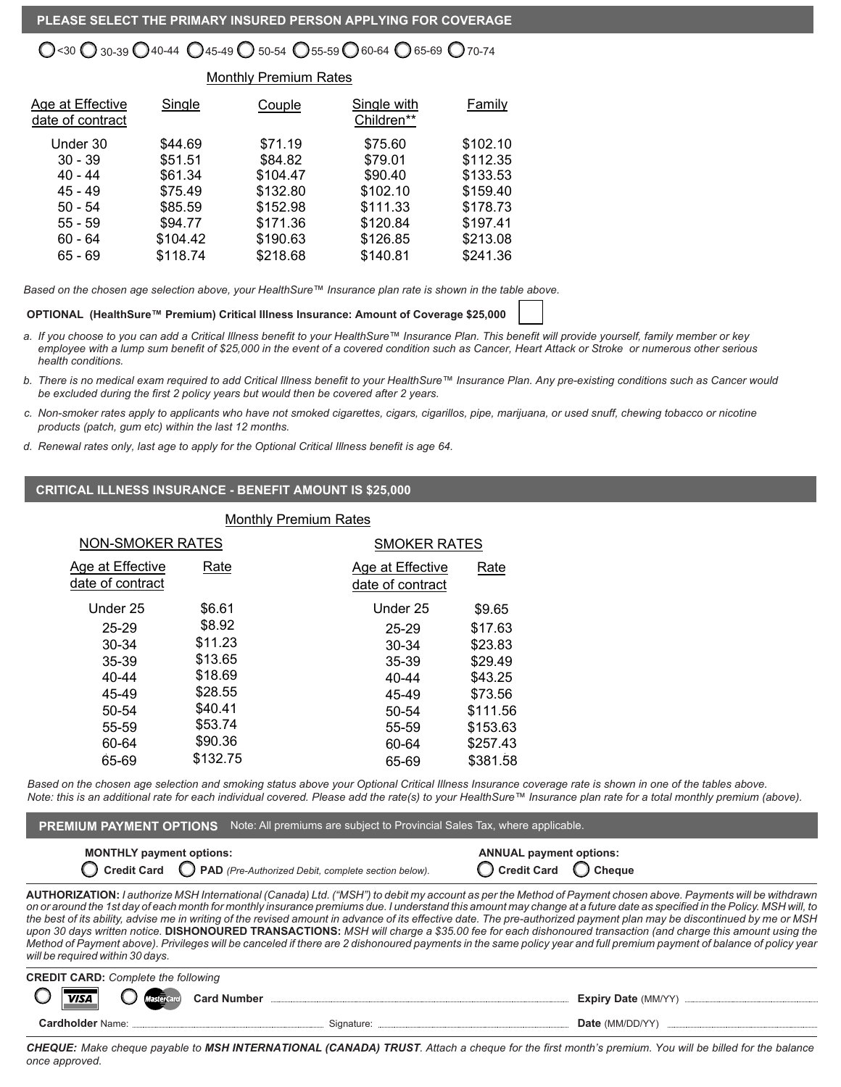# $\lesssim$ 30  $\bigcup$  30-39  $\bigcup$  40-44  $\bigcup$  45-49  $\bigcup$  50-54  $\bigcup$  55-59  $\bigcup$  60-64  $\bigcup$  65-69  $\bigcup$  70-74

# Monthly Premium Rates

| Age at Effective<br>date of contract | Single   | Couple   | Single with<br>Children** | Family   |
|--------------------------------------|----------|----------|---------------------------|----------|
| Under 30                             | \$44.69  | \$71.19  | \$75.60                   | \$102.10 |
| $30 - 39$                            | \$51.51  | \$84.82  | \$79.01                   | \$112.35 |
| 40 - 44                              | \$61.34  | \$104.47 | \$90.40                   | \$133.53 |
| $45 - 49$                            | \$75.49  | \$132.80 | \$102.10                  | \$159.40 |
| $50 - 54$                            | \$85.59  | \$152.98 | \$111.33                  | \$178.73 |
| $55 - 59$                            | \$94.77  | \$171.36 | \$120.84                  | \$197.41 |
| $60 - 64$                            | \$104.42 | \$190.63 | \$126.85                  | \$213.08 |
| $65 - 69$                            | \$118.74 | \$218.68 | \$140.81                  | \$241.36 |

*Based on the chosen age selection above, your HealthSure™ Insurance plan rate is shown in the table above.*

#### **OPTIONAL (HealthSure™ Premium) Critical Illness Insurance: Amount of Coverage \$25,000**

- *a. If you choose to you can add a Critical Illness benefit to your HealthSure™ Insurance Plan. This benefit will provide yourself, family member or key employee with a lump sum benefit of \$25,000 in the event of a covered condition such as Cancer, Heart Attack or Stroke or numerous other serious health conditions.*
- *b. There is no medical exam required to add Critical Illness benefit to your HealthSure™ Insurance Plan. Any pre-existing conditions such as Cancer would be excluded during the first 2 policy years but would then be covered after 2 years.*
- *c. Non-smoker rates apply to applicants who have not smoked cigarettes, cigars, cigarillos, pipe, marijuana, or used snuff, chewing tobacco or nicotine products (patch, gum etc) within the last 12 months.*
- *d. Renewal rates only, last age to apply for the Optional Critical Illness benefit is age 64.*

## **CRITICAL ILLNESS INSURANCE - BENEFIT AMOUNT IS \$25,000**

| <b>NON-SMOKER RATES</b>              |          | <b>SMOKER RATES</b>                  |          |
|--------------------------------------|----------|--------------------------------------|----------|
| Age at Effective<br>date of contract | Rate     | Age at Effective<br>date of contract | Rate     |
| Under 25                             | \$6.61   | Under 25                             | \$9.65   |
| $25 - 29$                            | \$8.92   | $25 - 29$                            | \$17.63  |
| 30-34                                | \$11.23  | 30-34                                | \$23.83  |
| 35-39                                | \$13.65  | 35-39                                | \$29.49  |
| 40-44                                | \$18.69  | 40-44                                | \$43.25  |
| 45-49                                | \$28.55  | 45-49                                | \$73.56  |
| 50-54                                | \$40.41  | 50-54                                | \$111.56 |
| 55-59                                | \$53.74  | 55-59                                | \$153.63 |
| 60-64                                | \$90.36  | 60-64                                | \$257.43 |
| 65-69                                | \$132.75 | 65-69                                | \$381.58 |
|                                      |          |                                      |          |

Monthly Premium Rates

*Based on the chosen age selection and smoking status above your Optional Critical Illness Insurance coverage rate is shown in one of the tables above. Note: this is an additional rate for each individual covered. Please add the rate(s) to your HealthSure™ Insurance plan rate for a total monthly premium (above).* 

**PREMIUM PAYMENT OPTIONS** Note: All premiums are subject to Provincial Sales Tax, where applicable.

| <b>MONTHLY payment options:</b> | C Credit Card C PAD (Pre-Authorized Debit, complete section below).                                                                                                                                                                                                                                                                             | <b>ANNUAL payment options:</b><br>$\bigcirc$ Credit Card $\bigcirc$ Cheque |  |
|---------------------------------|-------------------------------------------------------------------------------------------------------------------------------------------------------------------------------------------------------------------------------------------------------------------------------------------------------------------------------------------------|----------------------------------------------------------------------------|--|
|                                 | <b>AUTHORIZATION:</b> l authorize MSH International (Canada) Ltd. ("MSH") to debit my account as per the Method of Payment chosen above. Payments will be withdrawn<br>on or around the 1st day of each month for monthly insurance premiums due. I understand this amount may change at a future date as specified in the Policy. MSH will, to |                                                                            |  |

*on or around the 1st day of each month for monthly insurance premiums due. I understand this amount may change at a future date as specified in the Policy. MSH will, to the best of its ability, advise me in writing of the revised amount in advance of its effective date. The pre-authorized payment plan may be discontinued by me or MSH upon 30 days written notice.* **DISHONOURED TRANSACTIONS:** *MSH will charge a \$35.00 fee for each dishonoured transaction (and charge this amount using the*  Method of Payment above). Privileges will be canceled if there are 2 dishonoured payments in the same policy year and full premium payment of balance of policy year *will be required within 30 days.*



*CHEQUE: Make cheque payable to MSH INTERNATIONAL (CANADA) TRUST. Attach a cheque for the first month's premium. You will be billed for the balance once approved.*